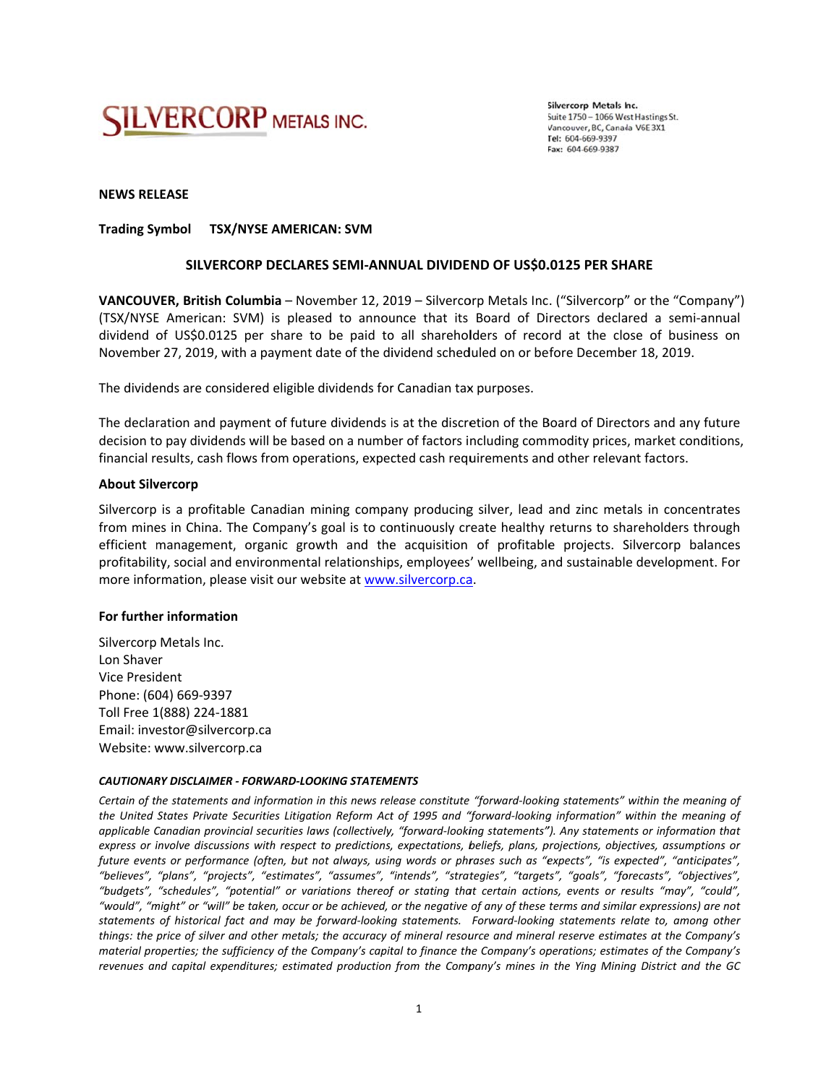

Silvercorp Metals Inc. Suite 1750 - 1066 West Hastings St. Vancouver, BC, Canada V6E 3X1 Tel: 604-669-9397 Fax: 604-669-9387

## **NEWS RELEASE**

# Trading Symbol TSX/NYSE AMERICAN: SVM

### SILVERCORP DECLARES SEMI-ANNUAL DIVIDEND OF US\$0.0125 PER SHARE

VANCOUVER, British Columbia - November 12, 2019 - Silvercorp Metals Inc. ("Silvercorp" or the "Company") (TSX/NYSE American: SVM) is pleased to announce that its Board of Directors declared a semi-annual dividend of US\$0.0125 per share to be paid to all shareholders of record at the close of business on November 27, 2019, with a payment date of the dividend scheduled on or before December 18, 2019.

The dividends are considered eligible dividends for Canadian tax purposes.

The declaration and payment of future dividends is at the discretion of the Board of Directors and any future decision to pay dividends will be based on a number of factors including commodity prices, market conditions, financial results, cash flows from operations, expected cash requirements and other relevant factors.

### **About Silvercorp**

Silvercorp is a profitable Canadian mining company producing silver, lead and zinc metals in concentrates from mines in China. The Company's goal is to continuously create healthy returns to shareholders through efficient management, organic growth and the acquisition of profitable projects. Silvercorp balances profitability, social and environmental relationships, employees' wellbeing, and sustainable development. For more information, please visit our website at www.silvercorp.ca.

### For further information

Silvercorp Metals Inc. Lon Shaver Vice President Phone: (604) 669-9397 Toll Free 1(888) 224-1881 Email: investor@silvercorp.ca Website: www.silvercorp.ca

### **CAUTIONARY DISCLAIMER - FORWARD-LOOKING STATEMENTS**

Certain of the statements and information in this news release constitute "forward-looking statements" within the meaning of the United States Private Securities Litigation Reform Act of 1995 and "forward-looking information" within the meaning of applicable Canadian provincial securities laws (collectively, "forward-looking statements"). Any statements or information that express or involve discussions with respect to predictions, expectations, beliefs, plans, projections, objectives, assumptions or future events or performance (often, but not always, using words or phrases such as "expects", "is expected", "anticipates", "believes", "plans", "projects", "estimates", "assumes", "intends", "strategies", "targets", "goals", "forecasts", "objectives", "budgets", "schedules", "potential" or variations thereof or stating that certain actions, events or results "may", "could", "would", "might" or "will" be taken, occur or be achieved, or the negative of any of these terms and similar expressions) are not statements of historical fact and may be forward-looking statements. Forward-looking statements relate to, among other things: the price of silver and other metals; the accuracy of mineral resource and mineral reserve estimates at the Company's material properties; the sufficiency of the Company's capital to finance the Company's operations; estimates of the Company's revenues and capital expenditures; estimated production from the Company's mines in the Ying Mining District and the GC